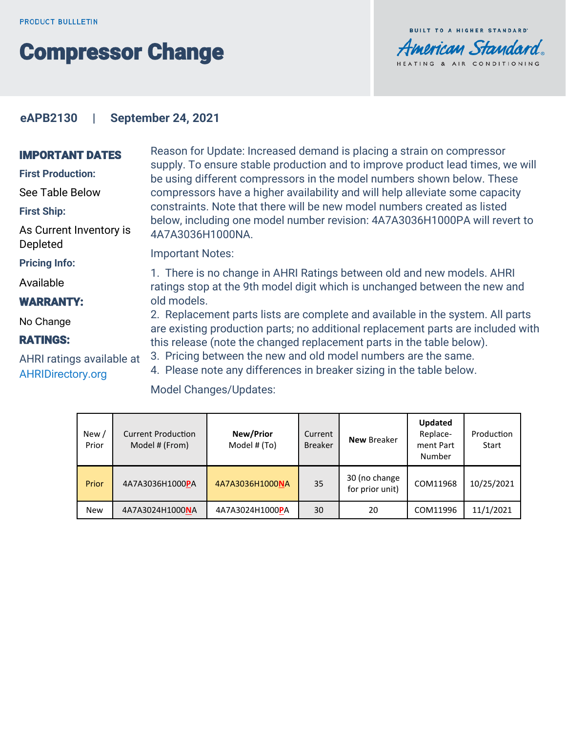



## **eAPB2130 | September 24, 2021**

## IMPORTANT DATES

**First Production:**

See Table Below

**First Ship:**

As Current Inventory is Depleted

**Pricing Info:**

Available

## WARRANTY:

No Change

## RATINGS:

AHRI ratings available at AHRID[irectory.org](http://ahridirectory.org)

Reason for Update: Increased demand is placing a strain on compressor supply. To ensure stable production and to improve product lead times, we will be using different compressors in the model numbers shown below. These compressors have a higher availability and will help alleviate some capacity constraints. Note that there will be new model numbers created as listed below, including one model number revision: 4A7A3036H1000PA will revert to 4A7A3036H1000NA.

Important Notes:

1. There is no change in AHRI Ratings between old and new models. AHRI ratings stop at the 9th model digit which is unchanged between the new and old models.

2. Replacement parts lists are complete and available in the system. All parts are existing production parts; no additional replacement parts are included with this release (note the changed replacement parts in the table below).

3. Pricing between the new and old model numbers are the same.

4. Please note any differences in breaker sizing in the table below.

Model Changes/Updates:

| New /<br>Prior | <b>Current Production</b><br>Model # (From) | New/Prior<br>Model # (To) | Current<br><b>Breaker</b> | <b>New Breaker</b>               | <b>Updated</b><br>Replace-<br>ment Part<br>Number | Production<br>Start |
|----------------|---------------------------------------------|---------------------------|---------------------------|----------------------------------|---------------------------------------------------|---------------------|
| Prior          | 4A7A3036H1000PA                             | 4A7A3036H1000NA           | 35                        | 30 (no change<br>for prior unit) | COM11968                                          | 10/25/2021          |
| <b>New</b>     | 4A7A3024H1000NA                             | 4A7A3024H1000PA           | 30                        | 20                               | COM11996                                          | 11/1/2021           |